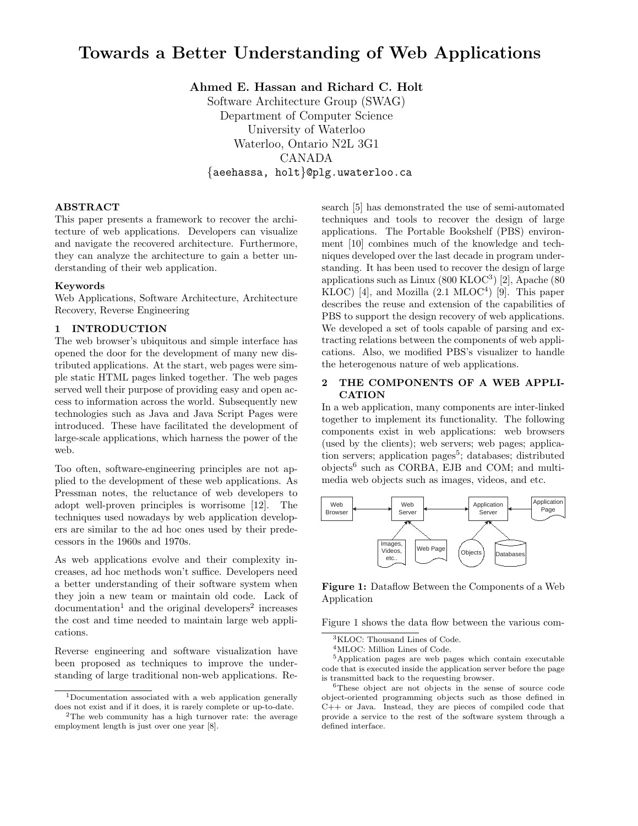# Towards a Better Understanding of Web Applications

Ahmed E. Hassan and Richard C. Holt

Software Architecture Group (SWAG) Department of Computer Science University of Waterloo Waterloo, Ontario N2L 3G1 CANADA {aeehassa, holt}@plg.uwaterloo.ca

# ABSTRACT

This paper presents a framework to recover the architecture of web applications. Developers can visualize and navigate the recovered architecture. Furthermore, they can analyze the architecture to gain a better understanding of their web application.

#### Keywords

Web Applications, Software Architecture, Architecture Recovery, Reverse Engineering

#### 1 INTRODUCTION

The web browser's ubiquitous and simple interface has opened the door for the development of many new distributed applications. At the start, web pages were simple static HTML pages linked together. The web pages served well their purpose of providing easy and open access to information across the world. Subsequently new technologies such as Java and Java Script Pages were introduced. These have facilitated the development of large-scale applications, which harness the power of the web.

Too often, software-engineering principles are not applied to the development of these web applications. As Pressman notes, the reluctance of web developers to adopt well-proven principles is worrisome [12]. The techniques used nowadays by web application developers are similar to the ad hoc ones used by their predecessors in the 1960s and 1970s.

As web applications evolve and their complexity increases, ad hoc methods won't suffice. Developers need a better understanding of their software system when they join a new team or maintain old code. Lack of  $d$ ocumentation<sup>1</sup> and the original developers<sup>2</sup> increases the cost and time needed to maintain large web applications.

Reverse engineering and software visualization have been proposed as techniques to improve the understanding of large traditional non-web applications. Research [5] has demonstrated the use of semi-automated techniques and tools to recover the design of large applications. The Portable Bookshelf (PBS) environment [10] combines much of the knowledge and techniques developed over the last decade in program understanding. It has been used to recover the design of large applications such as Linux (800 KLOC<sup>3</sup> ) [2], Apache (80 KLOC) [4], and Mozilla  $(2.1 \text{ MLOC}^4)$  [9]. This paper describes the reuse and extension of the capabilities of PBS to support the design recovery of web applications. We developed a set of tools capable of parsing and extracting relations between the components of web applications. Also, we modified PBS's visualizer to handle the heterogenous nature of web applications.

#### 2 THE COMPONENTS OF A WEB APPLI-**CATION**

In a web application, many components are inter-linked together to implement its functionality. The following components exist in web applications: web browsers (used by the clients); web servers; web pages; application servers; application pages<sup>5</sup>; databases; distributed objects<sup>6</sup> such as CORBA, EJB and COM; and multimedia web objects such as images, videos, and etc.



Figure 1: Dataflow Between the Components of a Web Application

Figure 1 shows the data flow between the various com-

<sup>1</sup>Documentation associated with a web application generally does not exist and if it does, it is rarely complete or up-to-date.

 $2$ The web community has a high turnover rate: the average employment length is just over one year [8].

<sup>3</sup>KLOC: Thousand Lines of Code.

<sup>4</sup>MLOC: Million Lines of Code.

<sup>5</sup>Application pages are web pages which contain executable code that is executed inside the application server before the page is transmitted back to the requesting browser.

<sup>6</sup>These object are not objects in the sense of source code object-oriented programming objects such as those defined in C++ or Java. Instead, they are pieces of compiled code that provide a service to the rest of the software system through a defined interface.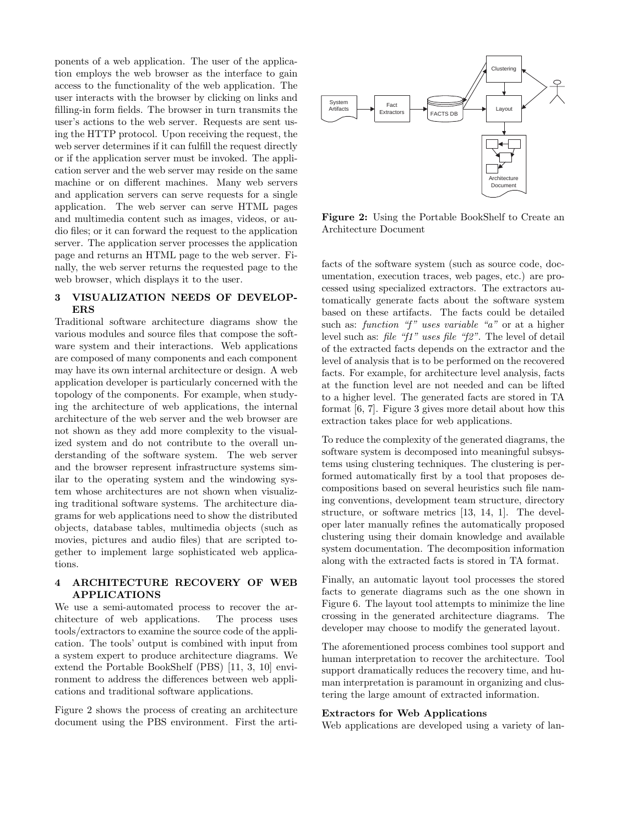ponents of a web application. The user of the application employs the web browser as the interface to gain access to the functionality of the web application. The user interacts with the browser by clicking on links and filling-in form fields. The browser in turn transmits the user's actions to the web server. Requests are sent using the HTTP protocol. Upon receiving the request, the web server determines if it can fulfill the request directly or if the application server must be invoked. The application server and the web server may reside on the same machine or on different machines. Many web servers and application servers can serve requests for a single application. The web server can serve HTML pages and multimedia content such as images, videos, or audio files; or it can forward the request to the application server. The application server processes the application page and returns an HTML page to the web server. Finally, the web server returns the requested page to the web browser, which displays it to the user.

# 3 VISUALIZATION NEEDS OF DEVELOP-ERS

Traditional software architecture diagrams show the various modules and source files that compose the software system and their interactions. Web applications are composed of many components and each component may have its own internal architecture or design. A web application developer is particularly concerned with the topology of the components. For example, when studying the architecture of web applications, the internal architecture of the web server and the web browser are not shown as they add more complexity to the visualized system and do not contribute to the overall understanding of the software system. The web server and the browser represent infrastructure systems similar to the operating system and the windowing system whose architectures are not shown when visualizing traditional software systems. The architecture diagrams for web applications need to show the distributed objects, database tables, multimedia objects (such as movies, pictures and audio files) that are scripted together to implement large sophisticated web applications.

# 4 ARCHITECTURE RECOVERY OF WEB APPLICATIONS

We use a semi-automated process to recover the architecture of web applications. The process uses tools/extractors to examine the source code of the application. The tools' output is combined with input from a system expert to produce architecture diagrams. We extend the Portable BookShelf (PBS) [11, 3, 10] environment to address the differences between web applications and traditional software applications.

Figure 2 shows the process of creating an architecture document using the PBS environment. First the arti-



Figure 2: Using the Portable BookShelf to Create an Architecture Document

facts of the software system (such as source code, documentation, execution traces, web pages, etc.) are processed using specialized extractors. The extractors automatically generate facts about the software system based on these artifacts. The facts could be detailed such as: function "f" uses variable "a" or at a higher level such as: file "f1" uses file "f2". The level of detail of the extracted facts depends on the extractor and the level of analysis that is to be performed on the recovered facts. For example, for architecture level analysis, facts at the function level are not needed and can be lifted to a higher level. The generated facts are stored in TA format [6, 7]. Figure 3 gives more detail about how this extraction takes place for web applications.

To reduce the complexity of the generated diagrams, the software system is decomposed into meaningful subsystems using clustering techniques. The clustering is performed automatically first by a tool that proposes decompositions based on several heuristics such file naming conventions, development team structure, directory structure, or software metrics [13, 14, 1]. The developer later manually refines the automatically proposed clustering using their domain knowledge and available system documentation. The decomposition information along with the extracted facts is stored in TA format.

Finally, an automatic layout tool processes the stored facts to generate diagrams such as the one shown in Figure 6. The layout tool attempts to minimize the line crossing in the generated architecture diagrams. The developer may choose to modify the generated layout.

The aforementioned process combines tool support and human interpretation to recover the architecture. Tool support dramatically reduces the recovery time, and human interpretation is paramount in organizing and clustering the large amount of extracted information.

## Extractors for Web Applications

Web applications are developed using a variety of lan-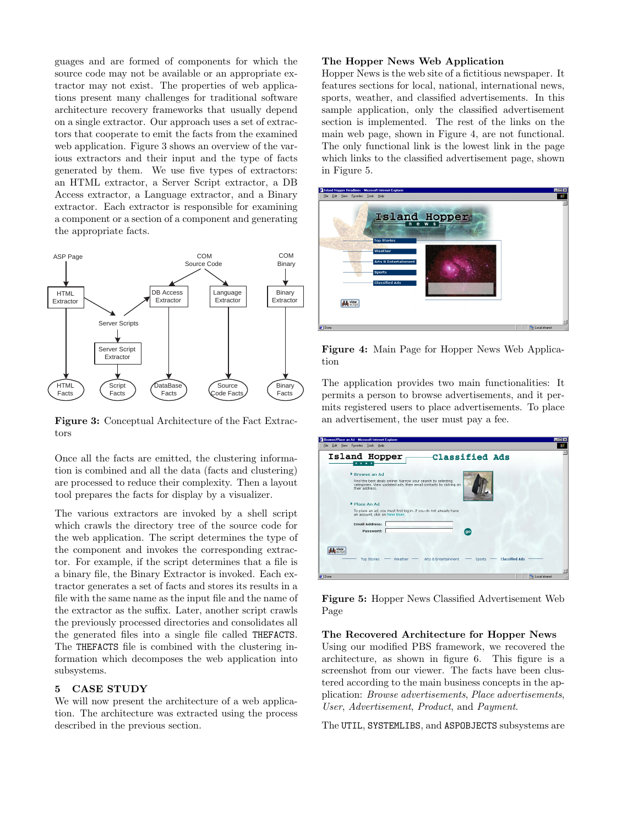guages and are formed of components for which the source code may not be available or an appropriate extractor may not exist. The properties of web applications present many challenges for traditional software architecture recovery frameworks that usually depend on a single extractor. Our approach uses a set of extractors that cooperate to emit the facts from the examined web application. Figure 3 shows an overview of the various extractors and their input and the type of facts generated by them. We use five types of extractors: an HTML extractor, a Server Script extractor, a DB Access extractor, a Language extractor, and a Binary extractor. Each extractor is responsible for examining a component or a section of a component and generating the appropriate facts.



Figure 3: Conceptual Architecture of the Fact Extractors

Once all the facts are emitted, the clustering information is combined and all the data (facts and clustering) are processed to reduce their complexity. Then a layout tool prepares the facts for display by a visualizer.

The various extractors are invoked by a shell script which crawls the directory tree of the source code for the web application. The script determines the type of the component and invokes the corresponding extractor. For example, if the script determines that a file is a binary file, the Binary Extractor is invoked. Each extractor generates a set of facts and stores its results in a file with the same name as the input file and the name of the extractor as the suffix. Later, another script crawls the previously processed directories and consolidates all the generated files into a single file called THEFACTS. The THEFACTS file is combined with the clustering information which decomposes the web application into subsystems.

# 5 CASE STUDY

We will now present the architecture of a web application. The architecture was extracted using the process described in the previous section.

#### The Hopper News Web Application

Hopper News is the web site of a fictitious newspaper. It features sections for local, national, international news, sports, weather, and classified advertisements. In this sample application, only the classified advertisement section is implemented. The rest of the links on the main web page, shown in Figure 4, are not functional. The only functional link is the lowest link in the page which links to the classified advertisement page, shown in Figure 5.



Figure 4: Main Page for Hopper News Web Application

The application provides two main functionalities: It permits a person to browse advertisements, and it permits registered users to place advertisements. To place an advertisement, the user must pay a fee.

|        | Island Hopper<br>Classified Ads                                                                                                                   |  |
|--------|---------------------------------------------------------------------------------------------------------------------------------------------------|--|
|        | n e                                                                                                                                               |  |
|        | Browse an Ad                                                                                                                                      |  |
|        | Find the best deals online! Narrow your search by selecting<br>categories. View updated ads, then email contacts by clicking on<br>their address. |  |
|        | Place An Ad                                                                                                                                       |  |
|        | To place an ad, you must first log in. If you do not already have<br>an account, click on New User.                                               |  |
|        | <b>Email Address:</b>                                                                                                                             |  |
|        | Password:<br>go)                                                                                                                                  |  |
|        |                                                                                                                                                   |  |
| script |                                                                                                                                                   |  |

Figure 5: Hopper News Classified Advertisement Web Page

#### The Recovered Architecture for Hopper News

Using our modified PBS framework, we recovered the architecture, as shown in figure 6. This figure is a screenshot from our viewer. The facts have been clustered according to the main business concepts in the application: Browse advertisements, Place advertisements, User, Advertisement, Product, and Payment.

The UTIL, SYSTEMLIBS, and ASPOBJECTS subsystems are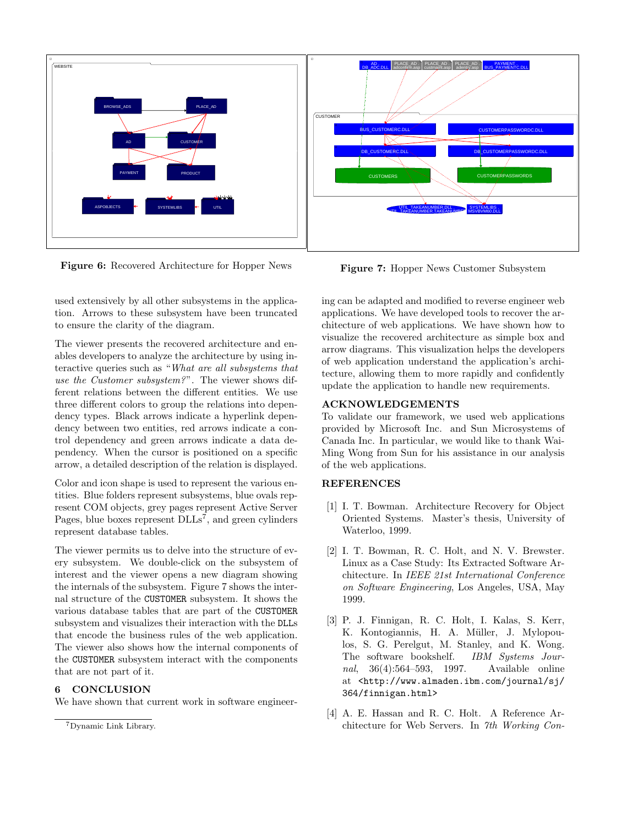

Figure 6: Recovered Architecture for Hopper News

used extensively by all other subsystems in the application. Arrows to these subsystem have been truncated to ensure the clarity of the diagram.

The viewer presents the recovered architecture and enables developers to analyze the architecture by using interactive queries such as "What are all subsystems that use the Customer subsystem?". The viewer shows different relations between the different entities. We use three different colors to group the relations into dependency types. Black arrows indicate a hyperlink dependency between two entities, red arrows indicate a control dependency and green arrows indicate a data dependency. When the cursor is positioned on a specific arrow, a detailed description of the relation is displayed.

Color and icon shape is used to represent the various entities. Blue folders represent subsystems, blue ovals represent COM objects, grey pages represent Active Server Pages, blue boxes represent  $\text{DLLs}^7$ , and green cylinders represent database tables.

The viewer permits us to delve into the structure of every subsystem. We double-click on the subsystem of interest and the viewer opens a new diagram showing the internals of the subsystem. Figure 7 shows the internal structure of the CUSTOMER subsystem. It shows the various database tables that are part of the CUSTOMER subsystem and visualizes their interaction with the DLLs that encode the business rules of the web application. The viewer also shows how the internal components of the CUSTOMER subsystem interact with the components that are not part of it.

# 6 CONCLUSION

We have shown that current work in software engineer-

Figure 7: Hopper News Customer Subsystem

ing can be adapted and modified to reverse engineer web applications. We have developed tools to recover the architecture of web applications. We have shown how to visualize the recovered architecture as simple box and arrow diagrams. This visualization helps the developers of web application understand the application's architecture, allowing them to more rapidly and confidently update the application to handle new requirements.

#### ACKNOWLEDGEMENTS

To validate our framework, we used web applications provided by Microsoft Inc. and Sun Microsystems of Canada Inc. In particular, we would like to thank Wai-Ming Wong from Sun for his assistance in our analysis of the web applications.

#### REFERENCES

- [1] I. T. Bowman. Architecture Recovery for Object Oriented Systems. Master's thesis, University of Waterloo, 1999.
- [2] I. T. Bowman, R. C. Holt, and N. V. Brewster. Linux as a Case Study: Its Extracted Software Architecture. In IEEE 21st International Conference on Software Engineering, Los Angeles, USA, May 1999.
- [3] P. J. Finnigan, R. C. Holt, I. Kalas, S. Kerr, K. Kontogiannis, H. A. Müller, J. Mylopoulos, S. G. Perelgut, M. Stanley, and K. Wong. The software bookshelf. IBM Systems Journal, 36(4):564–593, 1997. Available online at <http://www.almaden.ibm.com/journal/sj/ 364/finnigan.html>
- [4] A. E. Hassan and R. C. Holt. A Reference Architecture for Web Servers. In 7th Working Con-

<sup>7</sup>Dynamic Link Library.